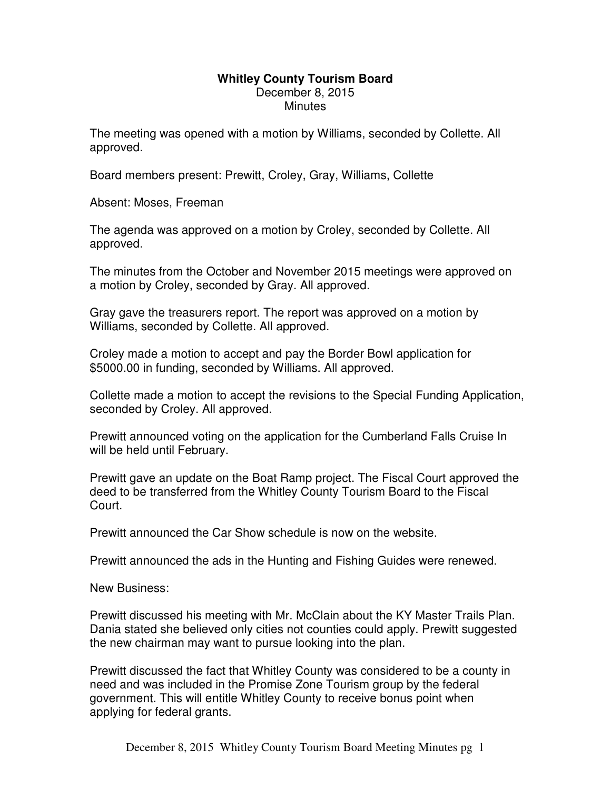## **Whitley County Tourism Board**  December 8, 2015 **Minutes**

The meeting was opened with a motion by Williams, seconded by Collette. All approved.

Board members present: Prewitt, Croley, Gray, Williams, Collette

Absent: Moses, Freeman

The agenda was approved on a motion by Croley, seconded by Collette. All approved.

The minutes from the October and November 2015 meetings were approved on a motion by Croley, seconded by Gray. All approved.

Gray gave the treasurers report. The report was approved on a motion by Williams, seconded by Collette. All approved.

Croley made a motion to accept and pay the Border Bowl application for \$5000.00 in funding, seconded by Williams. All approved.

Collette made a motion to accept the revisions to the Special Funding Application, seconded by Croley. All approved.

Prewitt announced voting on the application for the Cumberland Falls Cruise In will be held until February.

Prewitt gave an update on the Boat Ramp project. The Fiscal Court approved the deed to be transferred from the Whitley County Tourism Board to the Fiscal Court.

Prewitt announced the Car Show schedule is now on the website.

Prewitt announced the ads in the Hunting and Fishing Guides were renewed.

New Business:

Prewitt discussed his meeting with Mr. McClain about the KY Master Trails Plan. Dania stated she believed only cities not counties could apply. Prewitt suggested the new chairman may want to pursue looking into the plan.

Prewitt discussed the fact that Whitley County was considered to be a county in need and was included in the Promise Zone Tourism group by the federal government. This will entitle Whitley County to receive bonus point when applying for federal grants.